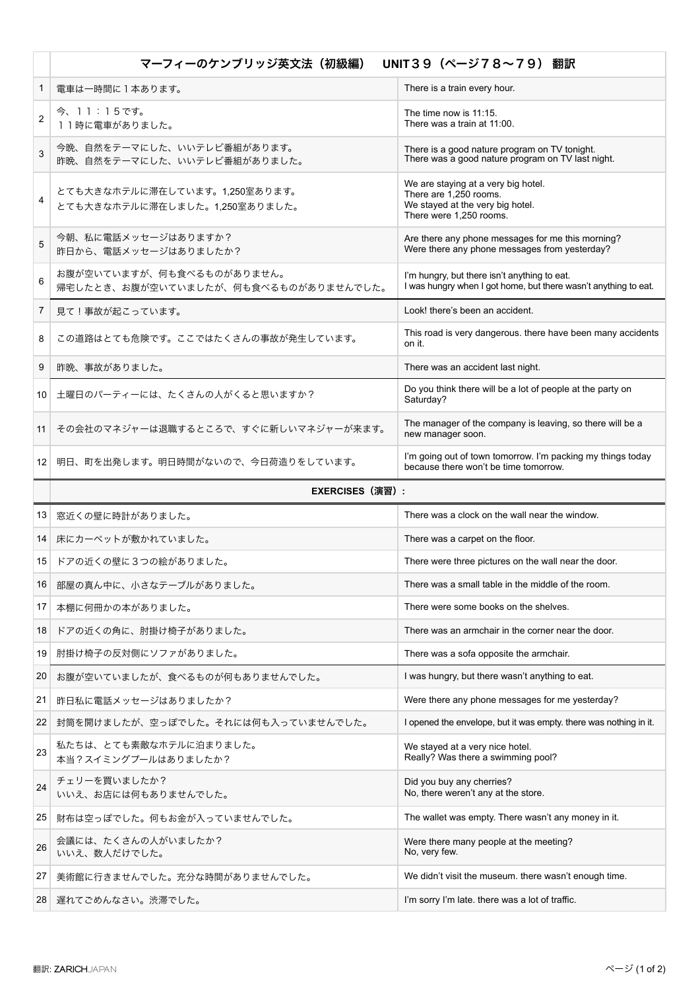|        | マーフィーのケンブリッジ英文法 (初級編)<br>UNIT39 (ページ78~79) 翻訳                     |                                                                                                                              |
|--------|-------------------------------------------------------------------|------------------------------------------------------------------------------------------------------------------------------|
| 1      | 電車は一時間に1本あります。                                                    | There is a train every hour.                                                                                                 |
| 2      | 今、11:15です。<br>11時に電車がありました。                                       | The time now is $11:15$ .<br>There was a train at 11:00.                                                                     |
| 3      | 今晩、自然をテーマにした、いいテレビ番組があります。<br>昨晩、自然をテーマにした、いいテレビ番組がありました。         | There is a good nature program on TV tonight.<br>There was a good nature program on TV last night.                           |
| 4      | とても大きなホテルに滞在しています。1.250室あります。<br>とても大きなホテルに滞在しました。1,250室ありました。    | We are staying at a very big hotel.<br>There are 1,250 rooms.<br>We stayed at the very big hotel.<br>There were 1,250 rooms. |
| 5      | 今朝、私に電話メッセージはありますか?<br>昨日から、電話メッセージはありましたか?                       | Are there any phone messages for me this morning?<br>Were there any phone messages from yesterday?                           |
| 6      | お腹が空いていますが、何も食べるものがありません。<br>帰宅したとき、お腹が空いていましたが、何も食べるものがありませんでした。 | I'm hungry, but there isn't anything to eat.<br>I was hungry when I got home, but there wasn't anything to eat.              |
| 7      | 見て!事故が起こっています。                                                    | Look! there's been an accident.                                                                                              |
| 8      | この道路はとても危険です。ここではたくさんの事故が発生しています。                                 | This road is very dangerous. there have been many accidents<br>on it.                                                        |
| 9      | 昨晩、事故がありました。                                                      | There was an accident last night.                                                                                            |
| $10-1$ | 土曜日のパーティーには、たくさんの人がくると思いますか?                                      | Do you think there will be a lot of people at the party on<br>Saturday?                                                      |
| 11     | その会社のマネジャーは退職するところで、すぐに新しいマネジャーが来ます。                              | The manager of the company is leaving, so there will be a<br>new manager soon.                                               |
|        | 12 明日、町を出発します。明日時間がないので、今日荷造りをしています。                              | I'm going out of town tomorrow. I'm packing my things today<br>because there won't be time tomorrow.                         |
|        | <b>EXERCISES (演習):</b>                                            |                                                                                                                              |
| 13     | 窓近くの壁に時計がありました。                                                   | There was a clock on the wall near the window.                                                                               |
| 14     | 床にカーペットが敷かれていました。                                                 | There was a carpet on the floor.                                                                                             |
| 15     | ドアの近くの壁に3つの絵がありました。                                               | There were three pictures on the wall near the door.                                                                         |
| 16     | 部屋の真ん中に、小さなテーブルがありました。                                            | There was a small table in the middle of the room.                                                                           |
| 17     | 本棚に何冊かの本がありました。                                                   | There were some books on the shelves.                                                                                        |
| 18     | ドアの近くの角に、肘掛け椅子がありました。                                             | There was an armchair in the corner near the door.                                                                           |
| 19     | 肘掛け椅子の反対側にソファがありました。                                              | There was a sofa opposite the armchair.                                                                                      |
| 20     | お腹が空いていましたが、食べるものが何もありませんでした。                                     | I was hungry, but there wasn't anything to eat.                                                                              |
| 21     | 昨日私に電話メッセージはありましたか?                                               | Were there any phone messages for me yesterday?                                                                              |
| 22     | 封筒を開けましたが、空っぽでした。それには何も入っていませんでした。                                | I opened the envelope, but it was empty, there was nothing in it.                                                            |
| 23     | 私たちは、とても素敵なホテルに泊まりました。<br>本当?スイミングプールはありましたか?                     | We stayed at a very nice hotel.<br>Really? Was there a swimming pool?                                                        |
| 24     | チェリーを買いましたか?<br>いいえ、お店には何もありませんでした。                               | Did you buy any cherries?<br>No, there weren't any at the store.                                                             |
| 25     | 財布は空っぽでした。何もお金が入っていませんでした。                                        | The wallet was empty. There wasn't any money in it.                                                                          |
| 26     | 会議には、たくさんの人がいましたか?<br>いいえ、数人だけでした。                                | Were there many people at the meeting?<br>No, very few.                                                                      |
| 27     | 美術館に行きませんでした。充分な時間がありませんでした。                                      | We didn't visit the museum. there wasn't enough time.                                                                        |
| 28     | 遅れてごめんなさい。渋滞でした。                                                  | I'm sorry I'm late. there was a lot of traffic.                                                                              |
|        |                                                                   |                                                                                                                              |